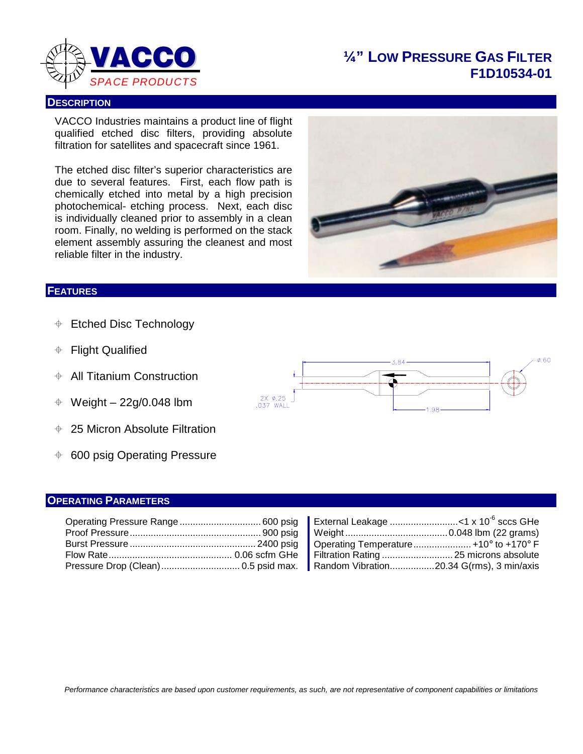

## **¼" LOW PRESSURE GAS FILTER F1D10534-01**

#### **DESCRIPTION**

VACCO Industries maintains a product line of flight qualified etched disc filters, providing absolute filtration for satellites and spacecraft since 1961.

The etched disc filter's superior characteristics are due to several features. First, each flow path is chemically etched into metal by a high precision photochemical- etching process. Next, each disc is individually cleaned prior to assembly in a clean room. Finally, no welding is performed on the stack element assembly assuring the cleanest and most reliable filter in the industry.



### **FEATURES**

- $\div$  Etched Disc Technology
- Flight Qualified
- $\div$  All Titanium Construction
- $\div$  Weight 22g/0.048 lbm
- 25 Micron Absolute Filtration
- $\div$  600 psig Operating Pressure

#### **OPERATING PARAMETERS**

| Operating Pressure Range 600 psig   ∥ External Leakage <1 x 10 <sup>-6</sup> sccs GHe           |  |  |
|-------------------------------------------------------------------------------------------------|--|--|
|                                                                                                 |  |  |
|                                                                                                 |  |  |
|                                                                                                 |  |  |
| Pressure Drop (Clean)…………………………… 0.5 psid max.   Random Vibration…………… 20.34 G(rms), 3 min/axis |  |  |

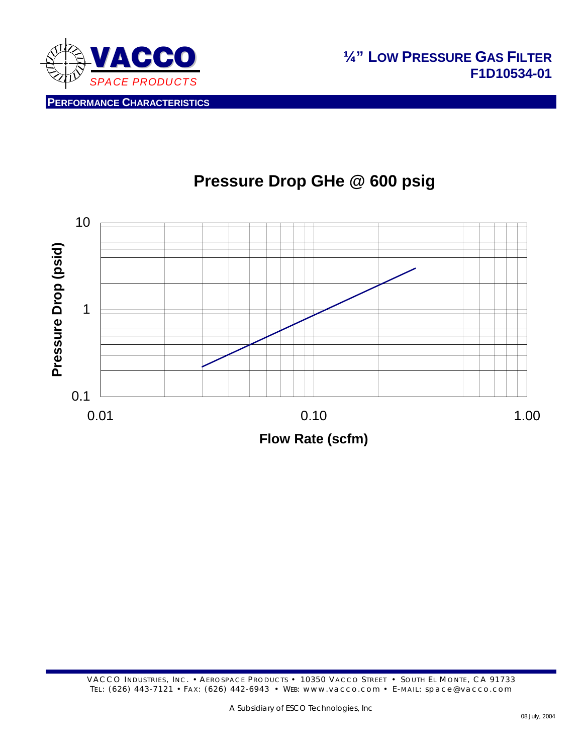



# **Pressure Drop GHe @ 600 psig**

VACCO INDUSTRIES, INC. • AEROSPACE PRODUCTS • 10350 VACCO STREET • SOUTH EL MONTE, CA 91733 TEL: (626) 443-7121 • FAX: (626) 442-6943 • WEB: www.vacco.com • E-MAIL: space@vacco.com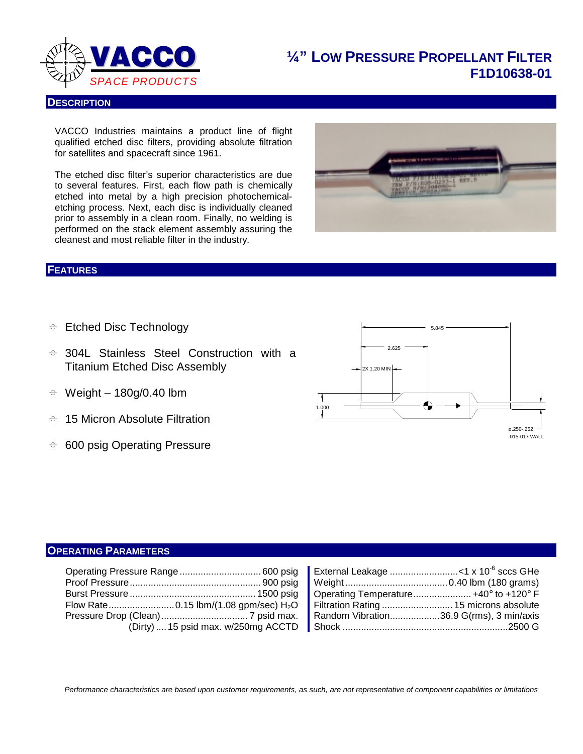

# **¼" LOW PRESSURE PROPELLANT FILTER F1D10638-01**

#### **DESCRIPTION**

VACCO Industries maintains a product line of flight qualified etched disc filters, providing absolute filtration for satellites and spacecraft since 1961.

The etched disc filter's superior characteristics are due to several features. First, each flow path is chemically etched into metal by a high precision photochemicaletching process. Next, each disc is individually cleaned prior to assembly in a clean room. Finally, no welding is performed on the stack element assembly assuring the cleanest and most reliable filter in the industry.

#### **FEATURES**

- **♦ Etched Disc Technology**
- 304L Stainless Steel Construction with a Titanium Etched Disc Assembly
- $\div$  Weight 180g/0.40 lbm
- $+$  15 Micron Absolute Filtration
- $\div$  600 psig Operating Pressure



#### **OPERATING PARAMETERS**

| Operating Temperature +40 $\textdegree$ to +120 $\textdegree$ F<br>Filtration Rating  15 microns absolute |
|-----------------------------------------------------------------------------------------------------------|
| Random Vibration36.9 G(rms), 3 min/axis                                                                   |

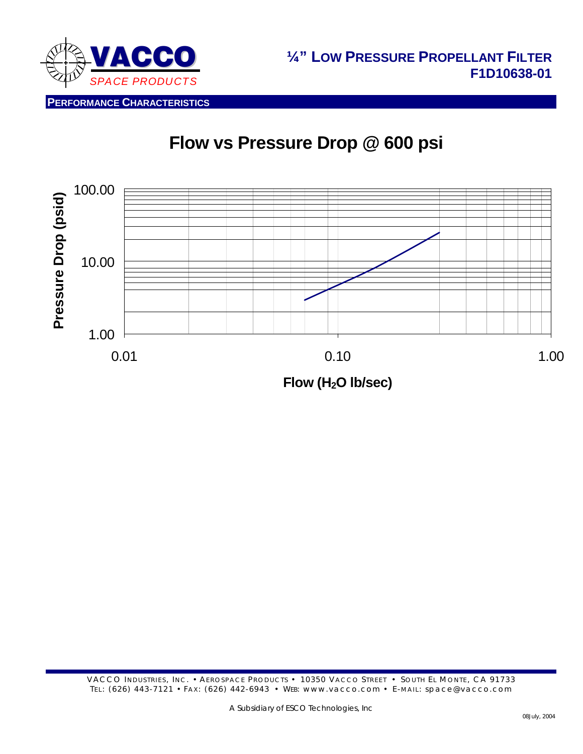

# **Flow vs Pressure Drop @ 600 psi**

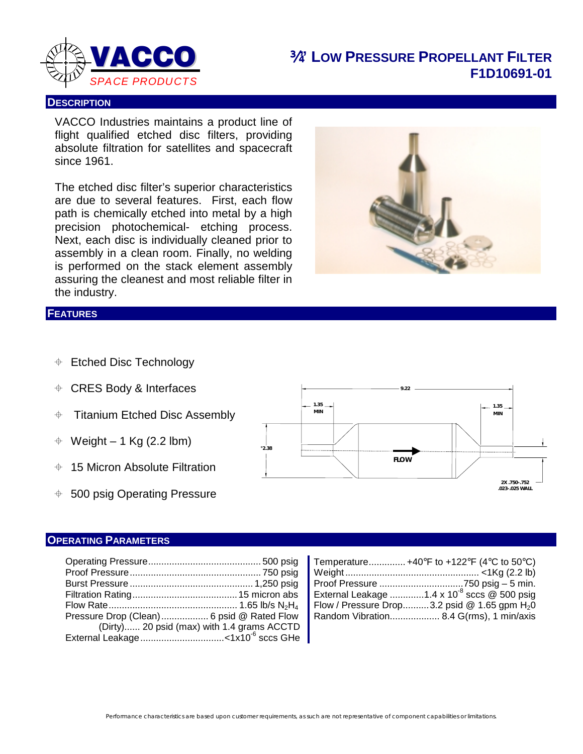

### ¾**" LOW PRESSURE PROPELLANT FILTER F1D10691-01**

#### **DESCRIPTION**

VACCO Industries maintains a product line of flight qualified etched disc filters, providing absolute filtration for satellites and spacecraft since 1961.

The etched disc filter's superior characteristics are due to several features. First, each flow path is chemically etched into metal by a high precision photochemical- etching process. Next, each disc is individually cleaned prior to assembly in a clean room. Finally, no welding is performed on the stack element assembly assuring the cleanest and most reliable filter in the industry.



### **FEATURES**

- **♦ Etched Disc Technology**
- CRES Body & Interfaces
- $\div$  Titanium Etched Disc Assembly
- $\div$  Weight 1 Kg (2.2 lbm)
- 15 Micron Absolute Filtration
- $\div$  500 psig Operating Pressure



### **OPERATING PARAMETERS**

|                                           |                                            | Flow / Pressure Drop3.2 psid @ 1.65 gpm $H_2$ 0 |
|-------------------------------------------|--------------------------------------------|-------------------------------------------------|
| Pressure Drop (Clean) 6 psid @ Rated Flow |                                            | Random Vibration 8.4 G(rms), 1 min/axis         |
|                                           | (Dirty) 20 psid (max) with 1.4 grams ACCTD |                                                 |
|                                           |                                            |                                                 |

| Temperature +40°F to +122°F (4°C to 50°C)              |
|--------------------------------------------------------|
|                                                        |
|                                                        |
| External Leakage 1.4 x 10 <sup>8</sup> sccs @ 500 psig |
| Flow / Pressure Drop3.2 psid @ 1.65 gpm $H_2O$         |
| Random Vibration 8.4 G(rms), 1 min/axis                |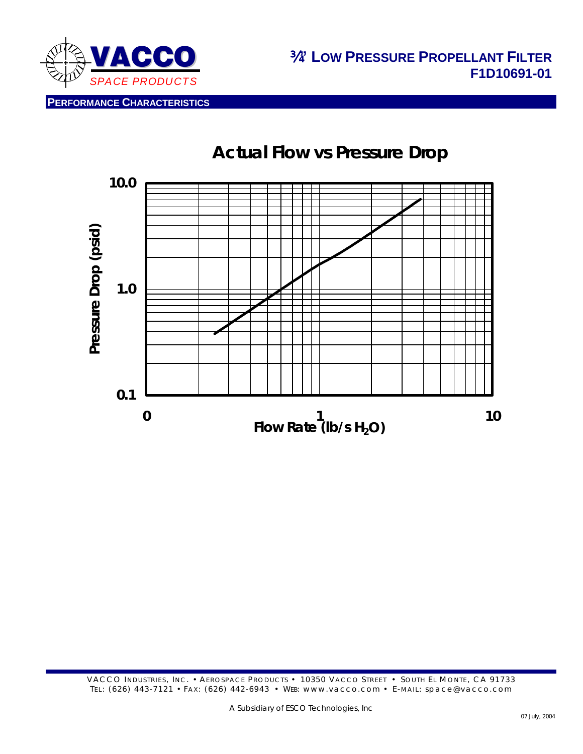

**PERFORMANCE CHARACTERISTICS**

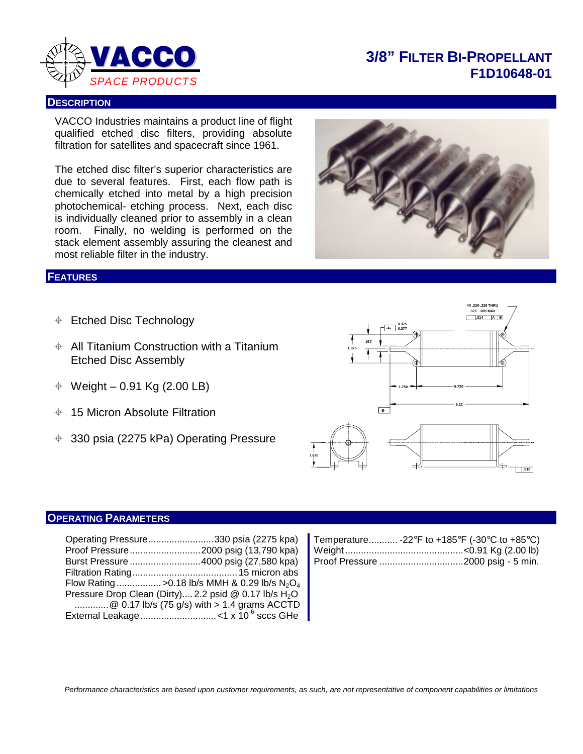

### **3/8" FILTER BI-PROPELLANT F1D10648-01**

#### **DESCRIPTION**

VACCO Industries maintains a product line of flight qualified etched disc filters, providing absolute filtration for satellites and spacecraft since 1961.

The etched disc filter's superior characteristics are due to several features. First, each flow path is chemically etched into metal by a high precision photochemical- etching process. Next, each disc is individually cleaned prior to assembly in a clean room. Finally, no welding is performed on the stack element assembly assuring the cleanest and most reliable filter in the industry.

#### **FEATURES**

- **♦ Etched Disc Technology**
- $\div$  All Titanium Construction with a Titanium Etched Disc Assembly
- $\div$  Weight 0.91 Kg (2.00 LB)
- $+$  15 Micron Absolute Filtration
- 330 psia (2275 kPa) Operating Pressure





### **OPERATING PARAMETERS**

| Operating Pressure330 psia (2275 kpa)                   | Temperature -22°F to +185°F (-30°C to +85°C) |
|---------------------------------------------------------|----------------------------------------------|
|                                                         |                                              |
| Burst Pressure 4000 psig (27,580 kpa)                   |                                              |
|                                                         |                                              |
| Flow Rating >0.18 lb/s MMH & 0.29 lb/s $N_2O_4$         |                                              |
| Pressure Drop Clean (Dirty) 2.2 psid @ 0.17 lb/s $H_2O$ |                                              |
| @ 0.17 lb/s (75 g/s) with > 1.4 grams ACCTD             |                                              |
|                                                         |                                              |

| Temperature -22°F to +185°F (-30°C to +85°C) |  |
|----------------------------------------------|--|
|                                              |  |
|                                              |  |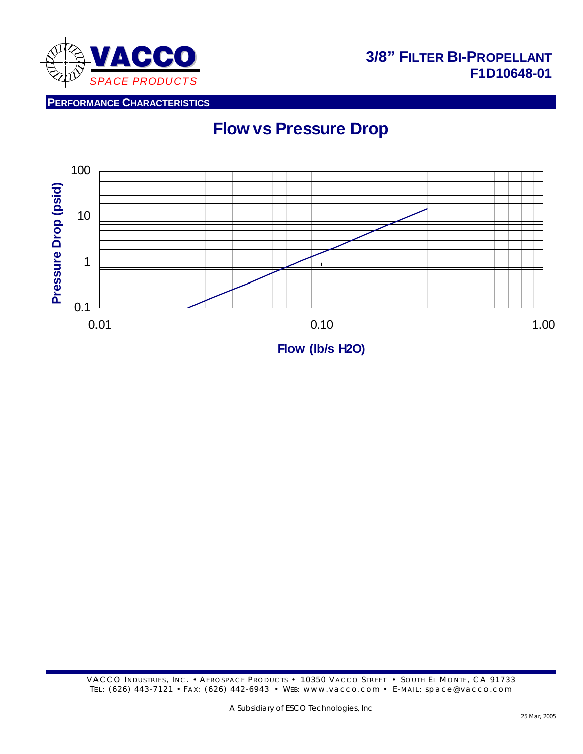

## **3/8" FILTER BI-PROPELLANT F1D10648-01**

**PERFORMANCE CHARACTERISTICS**

# **Flow vs Pressure Drop**

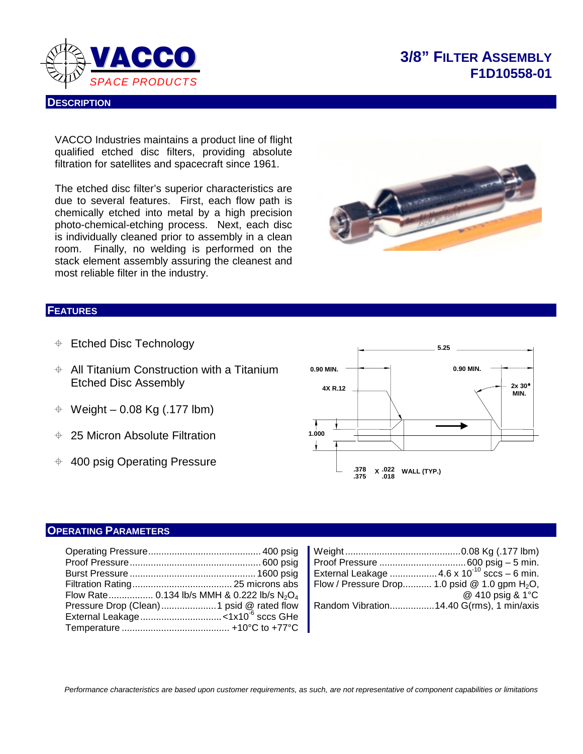

#### **DESCRIPTION**

# **3/8" FILTER ASSEMBLY F1D10558-01**

VACCO Industries maintains a product line of flight qualified etched disc filters, providing absolute filtration for satellites and spacecraft since 1961.

The etched disc filter's superior characteristics are due to several features. First, each flow path is chemically etched into metal by a high precision photo-chemical-etching process. Next, each disc is individually cleaned prior to assembly in a clean room. Finally, no welding is performed on the stack element assembly assuring the cleanest and most reliable filter in the industry.



#### **FEATURES**

- **♦ Etched Disc Technology**
- $\div$  All Titanium Construction with a Titanium Etched Disc Assembly
- $\div$  Weight 0.08 Kg (.177 lbm)
- 25 Micron Absolute Filtration
- $+$  400 psig Operating Pressure



### **OPERATING PARAMETERS**

| Pressure Drop (Clean)1 psid @ rated flow   Random Vibration14.40 G(rms), 1 min/axis | External Leakage  4.6 x 10 <sup>-10</sup> sccs - 6 min.<br>@ 410 psig & 1 $\degree$ C |
|-------------------------------------------------------------------------------------|---------------------------------------------------------------------------------------|
|                                                                                     |                                                                                       |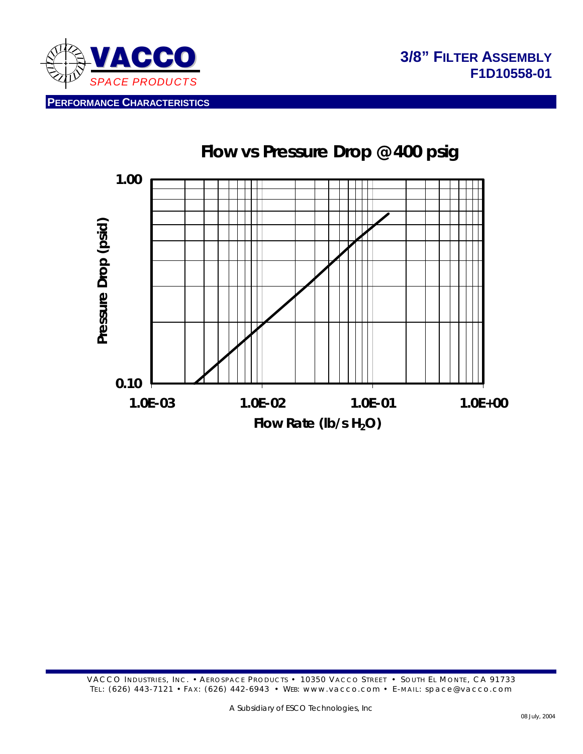

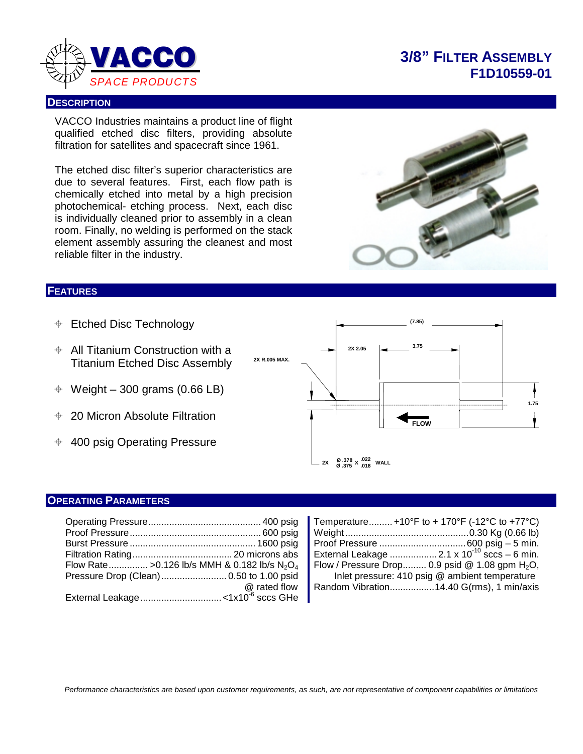

# **3/8" FILTER ASSEMBLY F1D10559-01**

#### **DESCRIPTION**

VACCO Industries maintains a product line of flight qualified etched disc filters, providing absolute filtration for satellites and spacecraft since 1961.

The etched disc filter's superior characteristics are due to several features. First, each flow path is chemically etched into metal by a high precision photochemical- etching process. Next, each disc is individually cleaned prior to assembly in a clean room. Finally, no welding is performed on the stack element assembly assuring the cleanest and most reliable filter in the industry.

#### **FEATURES**

- **♦ Etched Disc Technology**
- $\div$  All Titanium Construction with a Titanium Etched Disc Assembly
- $\div$  Weight 300 grams (0.66 LB)
- 20 Micron Absolute Filtration
- $\div$  400 psig Operating Pressure



#### **OPERATING PARAMETERS**

|  | Flow Rate > 0.126 lb/s MMH & 0.182 lb/s $N_2O_4$   Flow / Pressure Drop 0.9 psid @ 1.08 gpm H <sub>2</sub> O, |  |
|--|---------------------------------------------------------------------------------------------------------------|--|
|  | Inlet pressure: 410 psig @ ambient temperature                                                                |  |
|  | @ rated flow   Random Vibration14.40 G(rms), 1 min/axis                                                       |  |
|  |                                                                                                               |  |

| $\ldots$ . 400 psig | Temperature +10°F to + 170°F (-12°C to +77°C)           |
|---------------------|---------------------------------------------------------|
| $\ldots$ 600 psig   |                                                         |
| $\dots$ 1600 psig   |                                                         |
| microns abs         | External Leakage  2.1 x 10 <sup>-10</sup> sccs - 6 min. |
| $82$ lb/s $N2O4$    | Flow / Pressure Drop 0.9 psid @ 1.08 gpm $H_2O$ ,       |
| to 1.00 psid        | Inlet pressure: 410 psig @ ambient temperature          |
| @ rated flow        | Random Vibration14.40 G(rms), 1 min/axis                |
| $-6$ $-1$           |                                                         |